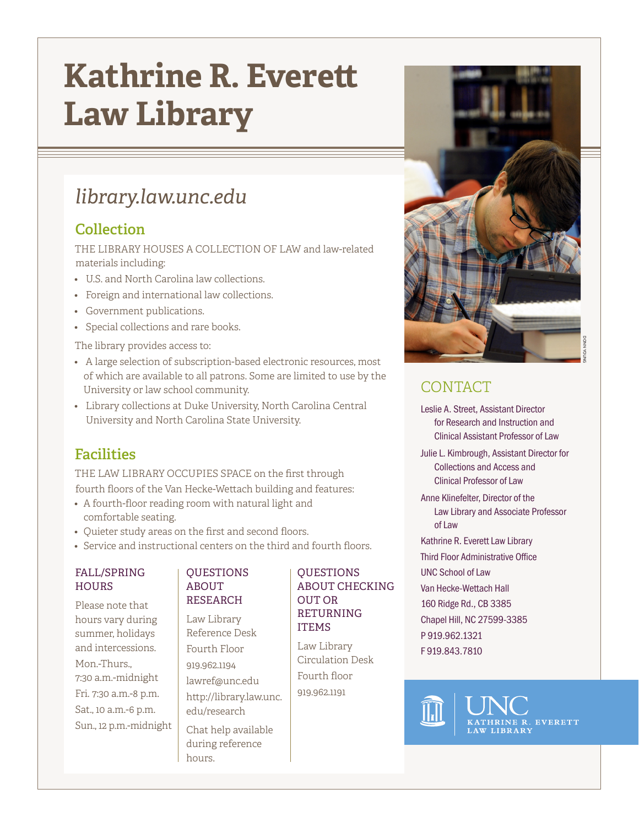# **Kathrine R. Everett Law Library**

# *library.law.unc.edu*

### **Collection**

THE LIBRARY HOUSES A COLLECTION OF LAW and law-related materials including:

- U.S. and North Carolina law collections.
- Foreign and international law collections.
- Government publications.
- Special collections and rare books.

The library provides access to:

- A large selection of subscription-based electronic resources, most of which are available to all patrons. Some are limited to use by the University or law school community.
- Library collections at Duke University, North Carolina Central University and North Carolina State University.

## **Facilities**

THE LAW LIBRARY OCCUPIES SPACE on the first through fourth floors of the Van Hecke-Wettach building and features:

- A fourth-floor reading room with natural light and comfortable seating.
- Quieter study areas on the first and second floors.
- Service and instructional centers on the third and fourth floors.

### FALL/SPRING **HOURS**

Please note that hours vary during summer, holidays and intercessions. Mon.-Thurs., 7:30 a.m.-midnight Fri. 7:30 a.m.-8 p.m. Sat., 10 a.m.-6 p.m. Sun., 12 p.m.-midnight

#### **OUESTIONS** ABOUT RESEARCH

Law Library Reference Desk Fourth Floor 919.962.1194 lawref@unc.edu http://library.law.unc. edu/research Chat help available

during reference

hours.

### **OUESTIONS** ABOUT CHECKING OUT OR RETURNING ITEMS

Law Library Circulation Desk Fourth floor 919.962.1191



# CONTACT

Leslie A. Street, Assistant Director for Research and Instruction and Clinical Assistant Professor of Law

Julie L. Kimbrough, Assistant Director for Collections and Access and Clinical Professor of Law

- Anne Klinefelter, Director of the Law Library and Associate Professor of Law
- Kathrine R. Everett Law Library
- Third Floor Administrative Office UNC School of Law Van Hecke-Wettach Hall
- 160 Ridge Rd., CB 3385 Chapel Hill, NC 27599-3385
- P 919.962.1321 F 919.843.7810



THRINE R. EVERETT